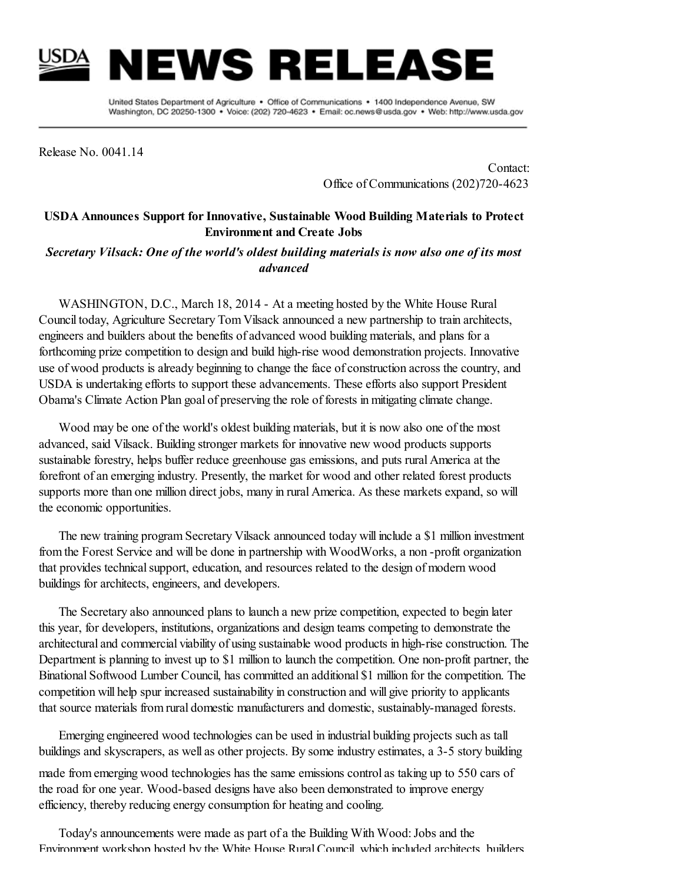## NEWS RELEAS

United States Department of Agriculture . Office of Communications . 1400 Independence Avenue, SW Washington, DC 20250-1300 · Voice: (202) 720-4623 · Email: oc.news@usda.gov · Web: http://www.usda.gov

Release No. 0041.14

Contact: Office of Communications (202)720-4623

## USDA Announces Support for Innovative, Sustainable Wood Building Materials to Protect Environment and Create Jobs

*Secretary Vilsack: One of the world's oldest building materials is now also one of its most advanced*

WASHINGTON, D.C., March 18, 2014 - At a meeting hosted by the White House Rural Council today, Agriculture Secretary Tom Vilsack announced a new partnership to train architects, engineers and builders about the benefits of advanced wood building materials, and plans for a forthcoming prize competition to design and build high-rise wood demonstration projects. Innovative use of wood products is already beginning to change the face of construction across the country, and USDA is undertaking efforts to support these advancements. These efforts also support President Obama's Climate Action Plan goal of preserving the role of forests in mitigating climate change.

Wood may be one of the world's oldest building materials, but it is now also one of the most advanced, said Vilsack. Building stronger markets for innovative new wood products supports sustainable forestry, helps buffer reduce greenhouse gas emissions, and puts rural America at the forefront of an emerging industry. Presently, the market for wood and other related forest products supports more than one million direct jobs, many in rural America. As these markets expand, so will the economic opportunities.

The new training program Secretary Vilsack announced today will include a \$1 million investment from the Forest Service and will be done in partnership with WoodWorks, a non -profit organization that provides technical support, education, and resources related to the design of modern wood buildings for architects, engineers, and developers.

The Secretary also announced plans to launch a new prize competition, expected to begin later this year, for developers, institutions, organizations and design teams competing to demonstrate the architectural and commercial viability of using sustainable wood products in high-rise construction. The Department is planning to invest up to \$1 million to launch the competition. One non-profit partner, the Binational Softwood Lumber Council, has committed an additional \$1 million for the competition. The competition will help spur increased sustainability in construction and will give priority to applicants that source materials from rural domestic manufacturers and domestic, sustainably-managed forests.

Emerging engineered wood technologies can be used in industrial building projects such as tall buildings and skyscrapers, as well as other projects. By some industry estimates, a 3-5 story building

made from emerging wood technologies has the same emissions control as taking up to 550 cars of the road for one year. Wood-based designs have also been demonstrated to improve energy efficiency, thereby reducing energy consumption for heating and cooling.

Today's announcements were made as part of a the Building With Wood:Jobs and the Environment workshop hosted by the White House RuralCouncil, which included architects, builders,